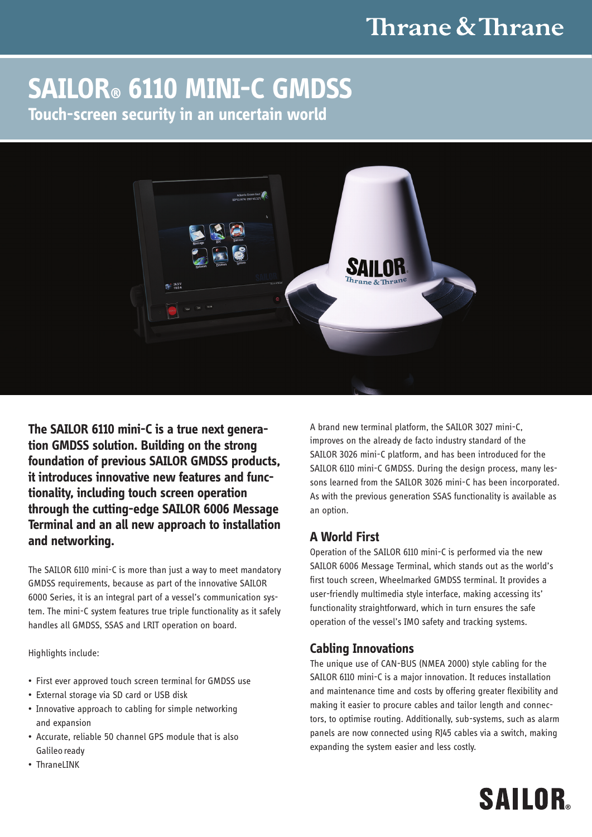# Thrane & Thrane

# **SAILOR® 6110 MINI-C GMDSS Touch-screen security in an uncertain world**



**The SAILOR 6110 mini-C is a true next generation GMDSS solution. Building on the strong foundation of previous SAILOR GMDSS products, it introduces innovative new features and functionality, including touch screen operation through the cutting-edge SAILOR 6006 Message Terminal and an all new approach to installation and networking.** 

The SAILOR 6110 mini-C is more than just a way to meet mandatory GMDSS requirements, because as part of the innovative SAILOR 6000 Series, it is an integral part of a vessel's communication system. The mini-C system features true triple functionality as it safely handles all GMDSS, SSAS and LRIT operation on board.

Highlights include:

- First ever approved touch screen terminal for GMDSS use
- • External storage via SD card or USB disk
- Innovative approach to cabling for simple networking and expansion
- Accurate, reliable 50 channel GPS module that is also Galileo ready
- Thranel INK

A brand new terminal platform, the SAILOR 3027 mini-C, improves on the already de facto industry standard of the SAILOR 3026 mini-C platform, and has been introduced for the SAILOR 6110 mini-C GMDSS. During the design process, many lessons learned from the SAILOR 3026 mini-C has been incorporated. As with the previous generation SSAS functionality is available as an option.

## **A World First**

Operation of the SAILOR 6110 mini-C is performed via the new SAILOR 6006 Message Terminal, which stands out as the world's first touch screen, Wheelmarked GMDSS terminal. It provides a user-friendly multimedia style interface, making accessing its' functionality straightforward, which in turn ensures the safe operation of the vessel's IMO safety and tracking systems.

### **Cabling Innovations**

The unique use of CAN-BUS (NMEA 2000) style cabling for the SAILOR 6110 mini-C is a major innovation. It reduces installation and maintenance time and costs by offering greater flexibility and making it easier to procure cables and tailor length and connectors, to optimise routing. Additionally, sub-systems, such as alarm panels are now connected using RJ45 cables via a switch, making expanding the system easier and less costly.